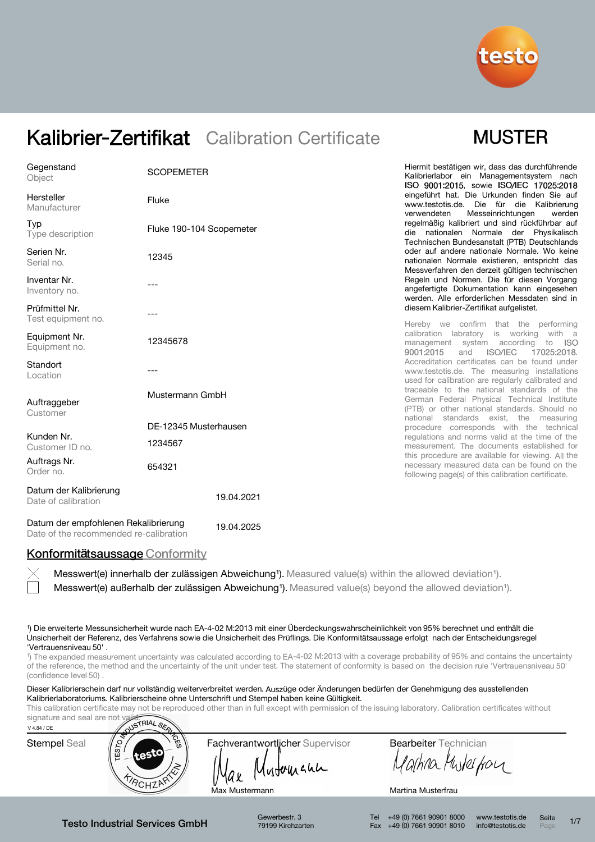

## **MUSTER**

| Gegenstand<br>Object                          | <b>SCOPEMETER</b>        | Hiermit bestätigen wir, dass das durchführende<br>Kalibrierlabor ein Managementsystem nach<br>ISO 9001:2015, sowie ISO/IEC 17025:2018                  |
|-----------------------------------------------|--------------------------|--------------------------------------------------------------------------------------------------------------------------------------------------------|
| Hersteller<br>Manufacturer                    | Fluke                    | eingeführt hat. Die Urkunden finden Sie auf<br>www.testotis.de. Die für die Kalibrierung<br>Messeinrichtungen<br>verwendeten<br>werden                 |
| Typ<br>Type description                       | Fluke 190-104 Scopemeter | regelmäßig kalibriert und sind rückführbar auf<br>die nationalen Normale der Physikalisch<br>Technischen Bundesanstalt (PTB) Deutschlands              |
| Serien Nr.<br>Serial no.                      | 12345                    | oder auf andere nationale Normale. Wo keine<br>nationalen Normale existieren, entspricht das<br>Messverfahren den derzeit gültigen technischen         |
| Inventar Nr.<br>Inventory no.                 |                          | Regeln und Normen. Die für diesen Vorgang<br>angefertigte Dokumentation kann eingesehen<br>werden. Alle erforderlichen Messdaten sind in               |
| Prüfmittel Nr.<br>Test equipment no.          |                          | diesem Kalibrier-Zertifikat aufgelistet.<br>Hereby we confirm that the performing                                                                      |
| Equipment Nr.<br>Equipment no.                | 12345678                 | calibration labratory is working<br>with a<br>management system according<br>to<br>- ISO<br>9001:2015<br><b>ISO/IEC</b><br>and<br>17025:2018.          |
| Standort<br>Location                          |                          | Accreditation certificates can be found under<br>www.testotis.de. The measuring installations<br>used for calibration are regularly calibrated and     |
| Auftraggeber<br>Customer                      | Mustermann GmbH          | traceable to the national standards of the<br>German Federal Physical Technical Institute<br>(PTB) or other national standards. Should no              |
|                                               | DE-12345 Musterhausen    | national standards exist, the measuring<br>procedure corresponds with the technical                                                                    |
| Kunden Nr.<br>Customer ID no.                 | 1234567                  | regulations and norms valid at the time of the<br>measurement. The documents established for                                                           |
| Auftrags Nr.<br>Order no.                     | 654321                   | this procedure are available for viewing. All the<br>necessary measured data can be found on the<br>following page(s) of this calibration certificate. |
| Datum der Kalibrierung<br>Date of calibration | 19.04.2021               |                                                                                                                                                        |
|                                               |                          |                                                                                                                                                        |

Datum der empfohlenen Rekalibrierung Date of the recommended re-calibration 19.04.2025

### Konformitätsaussage Conformity

Messwert(e) außerhalb der zulässigen Abweichung<sup>1</sup>). Measured value(s) beyond the allowed deviation<sup>1</sup>). Messwert(e) innerhalb der zulässigen Abweichung<sup>1</sup>). Measured value(s) within the allowed deviation<sup>1</sup>).

¹) Die erweiterte Messunsicherheit wurde nach EA-4-02 M:2013 mit einer Überdeckungswahrscheinlichkeit von 95% berechnet und enthält die Unsicherheit der Referenz, des Verfahrens sowie die Unsicherheit des Prüflings. Die Konformitätsaussage erfolgt nach der Entscheidungsregel 'Vertrauensniveau 50' .

<sup>1</sup>) The expanded measurement uncertainty was calculated according to EA-4-02 M:2013 with a coverage probability of 95% and contains the uncertainty of the reference, the method and the uncertainty of the unit under test. The statement of conformity is based on the decision rule 'Vertrauensniveau 50' (confidence level 50)

Dieser Kalibrierschein darf nur vollständig weiterverbreitet werden. Auszüge oder Änderungen bedürfen der Genehmigung des ausstellenden Kalibrierlaboratoriums. Kalibrierscheine ohne Unterschrift und Stempel haben keine Gültigkeit.

This calibration certificate may not be reproduced other than in full except with permission of the issuing laboratory. Calibration certificates without



Gewerbestr. 3 79199 Kirchzarten Tel +49 (0) 7661 90901 8000 Fax +49 (0) 7661 90901 8010 www.testotis.de info@testotis.de Seite  $P_{\text{A}}$  1/7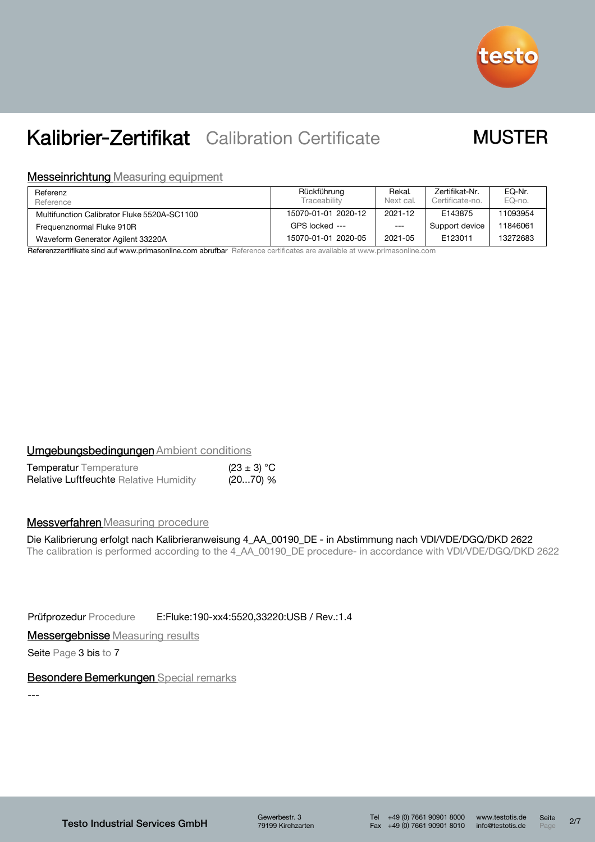

### **MUSTER**

#### **Messeinrichtung Measuring equipment**

| Referenz<br>Reference                       | Rückführung<br>Traceability | Rekal.<br>Next cal. | Zertifikat-Nr.<br>Certificate-no. | EQ-Nr.<br>EQ-no. |
|---------------------------------------------|-----------------------------|---------------------|-----------------------------------|------------------|
| Multifunction Calibrator Fluke 5520A-SC1100 | 15070-01-01 2020-12         | 2021-12             | E143875                           | 11093954         |
| Frequenznormal Fluke 910R                   | GPS locked ---              | $---$               | Support device                    | 1846061          |
| Waveform Generator Agilent 33220A           | 15070-01-01 2020-05         | 2021-05             | E123011                           | 13272683         |

Referenzzertifikate sind auf www.primasonline.com abrufbar Reference certificates are available at www.primasonline.com

#### **Umgebungsbedingungen Ambient conditions**

| <b>Temperatur</b> Temperature                 | $(23 \pm 3) °C$ |  |
|-----------------------------------------------|-----------------|--|
| <b>Relative Luftfeuchte Relative Humidity</b> | (2070) %        |  |

#### **Messverfahren** Measuring procedure

### Die Kalibrierung erfolgt nach Kalibrieranweisung 4\_AA\_00190\_DE - in Abstimmung nach VDI/VDE/DGQ/DKD 2622

The calibration is performed according to the 4\_AA\_00190\_DE procedure- in accordance with VDI/VDE/DGQ/DKD 2622

Prüfprozedur Procedure E:Fluke:190-xx4:5520,33220:USB / Rev.:1.4

**Messergebnisse** Measuring results

Seite Page 3 bis to 7

#### Besondere Bemerkungen Special remarks

---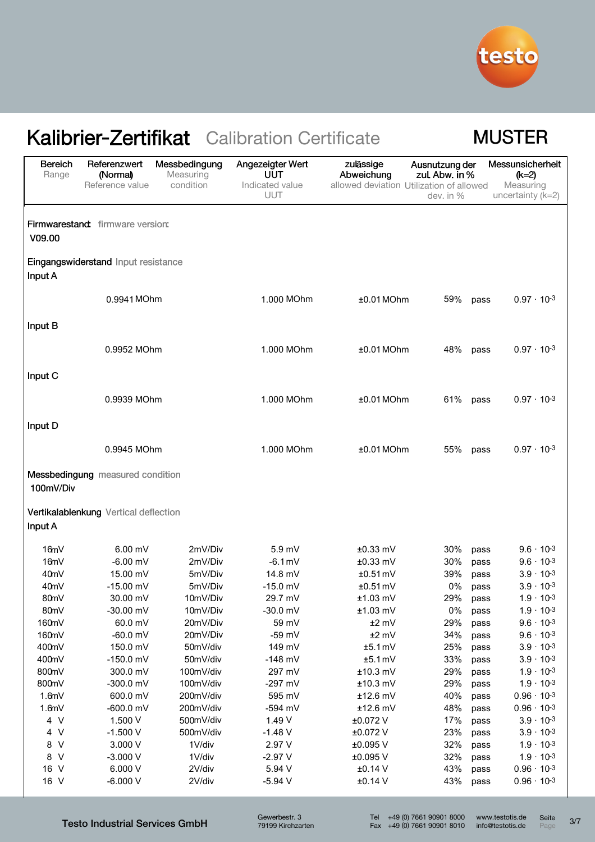

### **MUSTER**

| <b>Bereich</b><br>Range | Referenzwert<br>(Normal)              | Messbedingung<br>Measuring | Angezeigter Wert<br>UUT | zulässige<br>Abweichung                  | Ausnutzung der<br>zul. Abw. in % | Messunsicherheit<br>$(k=2)$ |
|-------------------------|---------------------------------------|----------------------------|-------------------------|------------------------------------------|----------------------------------|-----------------------------|
|                         | Reference value                       | condition                  | Indicated value         | allowed deviation Utilization of allowed |                                  | Measuring                   |
|                         |                                       |                            | UUT                     |                                          | dev. in %                        | uncertainty $(k=2)$         |
|                         |                                       |                            |                         |                                          |                                  |                             |
|                         | Firmwarestand firmware version:       |                            |                         |                                          |                                  |                             |
| V09.00                  |                                       |                            |                         |                                          |                                  |                             |
| Input A                 | Eingangswiderstand Input resistance   |                            |                         |                                          |                                  |                             |
|                         | 0.9941 MOhm                           |                            | 1.000 MOhm              | $±0.01$ MOhm                             | 59%<br>pass                      | $0.97 \cdot 10^{-3}$        |
|                         |                                       |                            |                         |                                          |                                  |                             |
| Input B                 |                                       |                            |                         |                                          |                                  |                             |
|                         |                                       |                            |                         |                                          |                                  |                             |
|                         | 0.9952 MOhm                           |                            | 1.000 MOhm              | $±0.01$ MOhm                             | 48%<br>pass                      | $0.97 \cdot 10^{-3}$        |
|                         |                                       |                            |                         |                                          |                                  |                             |
| Input C                 |                                       |                            |                         |                                          |                                  |                             |
|                         |                                       |                            |                         |                                          |                                  |                             |
|                         | 0.9939 MOhm                           |                            | 1.000 MOhm              | $±0.01$ MOhm                             | 61% pass                         | $0.97 \cdot 10^{-3}$        |
|                         |                                       |                            |                         |                                          |                                  |                             |
| Input D                 |                                       |                            |                         |                                          |                                  |                             |
|                         | 0.9945 MOhm                           |                            | 1.000 MOhm              | $±0.01$ MOhm                             | 55%<br>pass                      | $0.97 \cdot 10^{-3}$        |
|                         |                                       |                            |                         |                                          |                                  |                             |
|                         | Messbedingung measured condition      |                            |                         |                                          |                                  |                             |
| 100mV/Div               |                                       |                            |                         |                                          |                                  |                             |
|                         |                                       |                            |                         |                                          |                                  |                             |
|                         | Vertikalablenkung Vertical deflection |                            |                         |                                          |                                  |                             |
| Input A                 |                                       |                            |                         |                                          |                                  |                             |
| 16mV                    | $6.00$ mV                             | 2mV/Div                    | 5.9 <sub>mV</sub>       | $±0.33$ mV                               | 30%<br>pass                      | $9.6 \cdot 10^{-3}$         |
| 16mV                    | $-6.00$ mV                            | 2mV/Div                    | $-6.1$ mV               | $±0.33$ mV                               | 30%<br>pass                      | $9.6 \cdot 10^{-3}$         |
| 40mV                    | 15.00 mV                              | 5mV/Div                    | 14.8 mV                 | $±0.51$ mV                               | 39%<br>pass                      | $3.9 \cdot 10^{-3}$         |
| 40 <sub>m</sub> V       | $-15.00$ mV                           | 5mV/Div                    | $-15.0$ mV              | $±0.51$ mV                               | 0%<br>pass                       | $3.9 \cdot 10^{-3}$         |
| 80mV                    | 30.00 mV                              | 10mV/Div                   | 29.7 mV                 | $±1.03$ mV                               | 29%<br>pass                      | $1.9 \cdot 10^{-3}$         |
| 80mV                    | -30.00 mV                             | 10mV/Div                   | $-30.0$ mV              | $±1.03$ mV                               | 0%<br>pass                       | $1.9 \cdot 10^{-3}$         |
| 160mV                   | 60.0 mV                               | 20mV/Div                   | 59 mV                   | $±2$ mV                                  | 29%<br>pass                      | $9.6 \cdot 10^{-3}$         |
| 160mV                   | $-60.0$ mV                            | 20mV/Div                   | $-59$ mV                | $±2$ mV                                  | 34%<br>pass                      | $9.6 \cdot 10^{-3}$         |
| 400mV                   | 150.0 mV                              | 50mV/div                   | 149 mV                  | $±5.1$ mV                                | 25%<br>pass                      | $3.9 \cdot 10^{-3}$         |
| 400mV                   | $-150.0$ mV                           | 50mV/div                   | $-148$ mV               | $±5.1$ mV                                | 33%<br>pass                      | $3.9 \cdot 10^{-3}$         |
| 800mV                   | 300.0 mV                              | 100mV/div                  | 297 mV                  | $±10.3$ mV                               | 29%<br>pass                      | $1.9 \cdot 10^{-3}$         |
| 800mV                   | $-300.0$ mV                           | 100mV/div                  | $-297$ mV               | $±10.3$ mV                               | 29%<br>pass                      | $1.9 \cdot 10^{-3}$         |
| 1.6mV                   | 600.0 mV                              | 200mV/div                  | 595 mV                  | $±12.6$ mV                               | 40%<br>pass                      | $0.96 \cdot 10^{-3}$        |
| 1.6mV                   | $-600.0$ mV                           | 200mV/div                  | -594 mV                 | $±12.6$ mV                               | 48%<br>pass                      | $0.96 \cdot 10^{-3}$        |
| 4 V                     | 1.500 V                               | 500mV/div                  | 1.49 V                  | ±0.072 V                                 | 17%<br>pass                      | $3.9 \cdot 10^{-3}$         |
| 4 V                     | $-1.500V$                             | 500mV/div                  | $-1.48$ V               | ±0.072 V                                 | 23%<br>pass                      | $3.9 \cdot 10^{-3}$         |
| 8 V                     | 3.000V                                | 1V/div                     | 2.97 V                  | ±0.095 V                                 | 32%<br>pass                      | $1.9 \cdot 10^{-3}$         |
| 8 V                     | $-3.000V$                             | 1V/div                     | $-2.97V$                | ±0.095 V                                 | 32%<br>pass                      | $1.9 \cdot 10^{-3}$         |
| 16 V                    | 6.000 V                               | 2V/div                     | 5.94 V                  | $±0.14$ V                                | 43%<br>pass                      | $0.96 \cdot 10^{-3}$        |
| 16 V                    | $-6.000V$                             | 2V/div                     | $-5.94$ V               | $±0.14$ V                                | 43%<br>pass                      | $0.96 \cdot 10^{-3}$        |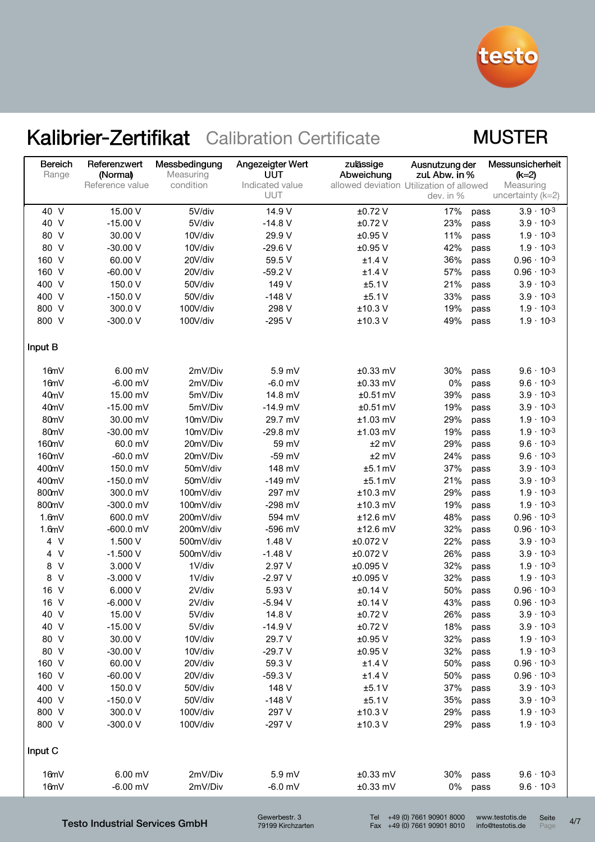

### **MUSTER**

| <b>Bereich</b><br>Range | Referenzwert<br>(Normal)<br>Reference value | Messbedingung<br>Measuring<br>condition | Angezeigter Wert<br>UUT<br>Indicated value | zulässige<br>Abweichung<br>allowed deviation Utilization of allowed | Ausnutzung der<br>zul. Abw. in % |      | Messunsicherheit<br>$(k=2)$<br>Measuring |
|-------------------------|---------------------------------------------|-----------------------------------------|--------------------------------------------|---------------------------------------------------------------------|----------------------------------|------|------------------------------------------|
|                         |                                             |                                         | <b>UUT</b>                                 |                                                                     | dev. in %                        |      | uncertainty ( $k=2$ )                    |
| 40 V                    | 15.00 V                                     | 5V/div                                  | 14.9 V                                     | ±0.72 V                                                             | 17%                              | pass | $3.9 \cdot 10^{-3}$                      |
| 40 V                    | $-15.00V$                                   | 5V/div                                  | $-14.8V$                                   | $±0.72$ V                                                           | 23%                              | pass | $3.9 \cdot 10^{-3}$                      |
| 80 V                    | 30.00 V                                     | 10V/div                                 | 29.9 V                                     | $±0.95$ V                                                           | 11%                              | pass | $1.9 \cdot 10^{-3}$                      |
| 80 V                    | $-30.00V$                                   | 10V/div                                 | $-29.6V$                                   | ±0.95 V                                                             | 42%                              | pass | $1.9 \cdot 10^{-3}$                      |
| 160 V                   | 60.00 V                                     | 20V/div                                 | 59.5 V                                     | $±1.4$ V                                                            | 36%                              | pass | $0.96 \cdot 10^{-3}$                     |
| 160 V                   | $-60.00V$                                   | 20V/div                                 | $-59.2V$                                   | $±1.4$ V                                                            | 57%                              | pass | $0.96 \cdot 10^{-3}$                     |
| 400 V                   | 150.0 V                                     | 50V/div                                 | 149 V                                      | ±5.1V                                                               | 21%                              | pass | $3.9 \cdot 10^{-3}$                      |
| 400 V                   | $-150.0V$                                   | 50V/div                                 | $-148V$                                    | ±5.1V                                                               | 33%                              | pass | $3.9 \cdot 10^{-3}$                      |
| 800 V                   | 300.0 V                                     | 100V/div                                | 298 V                                      | ±10.3 V                                                             | 19%                              | pass | $1.9 \cdot 10^{-3}$                      |
| 800 V                   | $-300.0V$                                   | 100V/div                                | $-295V$                                    | $±10.3$ V                                                           | 49%                              | pass | $1.9 \cdot 10^{-3}$                      |
| Input B                 |                                             |                                         |                                            |                                                                     |                                  |      |                                          |
| 16mV                    | 6.00 mV                                     | 2mV/Div                                 | 5.9 mV                                     | ±0.33 mV                                                            | 30%                              | pass | $9.6 \cdot 10^{-3}$                      |
| 16mV                    | $-6.00$ mV                                  | 2mV/Div                                 | $-6.0$ mV                                  | $±0.33$ mV                                                          | 0%                               | pass | $9.6 \cdot 10^{-3}$                      |
| 40mV                    | 15.00 mV                                    | 5mV/Div                                 | 14.8 mV                                    | $±0.51$ mV                                                          | 39%                              | pass | $3.9 \cdot 10^{-3}$                      |
| 40mV                    | $-15.00$ mV                                 | 5mV/Div                                 | $-14.9$ mV                                 | $±0.51$ mV                                                          | 19%                              | pass | $3.9 \cdot 10^{-3}$                      |
| 80mV                    | 30.00 mV                                    | 10mV/Div                                | 29.7 mV                                    | $±1.03$ mV                                                          | 29%                              | pass | $1.9 \cdot 10^{-3}$                      |
| 80mV                    | -30.00 mV                                   | 10mV/Div                                | $-29.8$ mV                                 | $±1.03$ mV                                                          | 19%                              | pass | $1.9 \cdot 10^{-3}$                      |
| 160mV                   | 60.0 mV                                     | 20mV/Div                                | 59 mV                                      | $±2$ mV                                                             | 29%                              | pass | $9.6 \cdot 10^{-3}$                      |
| 160mV                   | $-60.0$ mV                                  | 20mV/Div                                | $-59$ mV                                   | $±2$ mV                                                             | 24%                              | pass | $9.6 \cdot 10^{-3}$                      |
| 400mV                   | 150.0 mV                                    | 50mV/div                                | 148 mV                                     | $±5.1$ mV                                                           | 37%                              | pass | $3.9 \cdot 10^{-3}$                      |
| 400mV                   | $-150.0$ mV                                 | 50mV/div                                | $-149$ mV                                  | $±5.1$ mV                                                           | 21%                              | pass | $3.9 \cdot 10^{-3}$                      |
| 800mV                   | 300.0 mV                                    | 100mV/div                               | 297 mV                                     | ±10.3 mV                                                            | 29%                              | pass | $1.9 \cdot 10^{-3}$                      |
| 800mV                   | -300.0 mV                                   | 100mV/div                               | $-298$ mV                                  | $±10.3$ mV                                                          | 19%                              | pass | $1.9 \cdot 10^{-3}$                      |
| 1.6mV                   | 600.0 mV                                    | 200mV/div                               | 594 mV                                     | ±12.6 mV                                                            | 48%                              | pass | $0.96 \cdot 10^{-3}$                     |
| 1.6mV                   | $-600.0$ mV                                 | 200mV/div                               | -596 mV                                    | ±12.6 mV                                                            | 32%                              | pass | $0.96 \cdot 10^{-3}$                     |
| 4V                      | 1.500 V                                     | 500mV/div                               | 1.48 V                                     | ±0.072 V                                                            | 22%                              | pass | $3.9 \cdot 10^{-3}$                      |
| 4 V                     | $-1.500V$                                   | 500mV/div                               | $-1.48$ V                                  | ±0.072 V                                                            | 26%                              | pass | $3.9 \cdot 10^{-3}$                      |
| 8 V                     | 3.000 V                                     | 1V/div                                  | 2.97 V                                     | ±0.095 V                                                            | 32%                              | pass | $1.9 \cdot 10^{-3}$                      |
| 8 V                     | $-3.000V$                                   | 1V/div                                  | $-2.97V$                                   | ±0.095 V                                                            | 32%                              | pass | $1.9 \cdot 10^{-3}$                      |
| 16 V                    | 6.000 V                                     | 2V/div                                  | 5.93 V                                     | $±0.14$ V                                                           | 50%                              | pass | $0.96 \cdot 10^{-3}$                     |
| 16 V                    | $-6.000V$                                   | 2V/div                                  | $-5.94$ V                                  | ±0.14 V                                                             | 43%                              | pass | $0.96 \cdot 10^{-3}$                     |
| 40 V                    | 15.00 V                                     | 5V/div                                  | 14.8 V                                     | ±0.72V                                                              | 26%                              | pass | $3.9 \cdot 10^{-3}$                      |
| 40 V                    | $-15.00V$                                   | 5V/div                                  | $-14.9V$                                   | $±0.72$ V                                                           | 18%                              | pass | $3.9 \cdot 10^{-3}$                      |
| 80 V                    | 30.00 V                                     | 10V/div                                 | 29.7 V                                     | $±0.95$ V                                                           | 32%                              | pass | $1.9 \cdot 10^{-3}$                      |
| 80 V                    | $-30.00V$                                   | 10V/div                                 | $-29.7V$                                   | $±0.95$ V                                                           | 32%                              | pass | $1.9 \cdot 10^{-3}$                      |
| 160 V                   | 60.00 V                                     | 20V/div                                 | 59.3 V                                     | $±1.4$ V                                                            | 50%                              | pass | $0.96 \cdot 10^{-3}$                     |
| 160 V                   | $-60.00V$                                   | 20V/div                                 | $-59.3V$                                   | ±1.4V                                                               | 50%                              | pass | $0.96 \cdot 10^{-3}$                     |
| 400 V                   | 150.0 V                                     | 50V/div                                 | 148 V                                      | ±5.1V                                                               | 37%                              | pass | $3.9 \cdot 10^{-3}$                      |
| 400 V                   | $-150.0 V$                                  | 50V/div                                 | $-148V$                                    | ±5.1V                                                               | 35%                              | pass | $3.9 \cdot 10^{-3}$                      |
| 800 V                   | 300.0 V                                     | 100V/div                                | 297 V                                      | $±10.3$ V                                                           | 29%                              | pass | $1.9 \cdot 10^{-3}$                      |
| 800 V                   | $-300.0V$                                   | 100V/div                                | $-297V$                                    | $±10.3$ V                                                           | 29%                              | pass | $1.9 \cdot 10^{-3}$                      |
| Input C                 |                                             |                                         |                                            |                                                                     |                                  |      |                                          |
| 16mV                    | 6.00 mV                                     | 2mV/Div                                 | 5.9 mV                                     | ±0.33 mV                                                            | 30%                              | pass | $9.6 \cdot 10^{-3}$                      |
| 16mV                    | $-6.00$ mV                                  | 2mV/Div                                 | $-6.0$ mV                                  | ±0.33 mV                                                            | 0% pass                          |      | $9.6 \cdot 10^{-3}$                      |
|                         |                                             |                                         |                                            |                                                                     |                                  |      |                                          |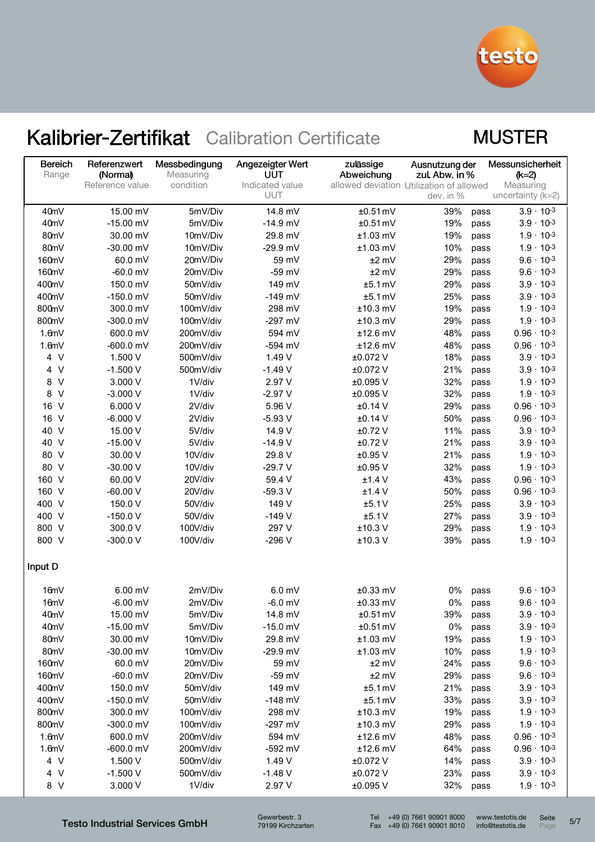

### **MUSTER**

| <b>Bereich</b><br>Range | Referenzwert<br>(Normal) | Messbedingung<br>Measuring | Angezeigter Wert<br>UUT | zulässige<br>Abweichung | Ausnutzung der<br>zul. Abw. in %         |      | Messunsicherheit<br>(k=2) |
|-------------------------|--------------------------|----------------------------|-------------------------|-------------------------|------------------------------------------|------|---------------------------|
|                         | Reference value          | condition                  | Indicated value         |                         | allowed deviation Utilization of allowed |      | Measuring                 |
|                         |                          |                            | UUT                     |                         | dev. in %                                |      | uncertainty $(k=2)$       |
| 40mV                    | 15.00 mV                 | 5mV/Div                    | 14.8 mV                 | $±0.51$ mV              | 39%                                      | pass | $3.9 \cdot 10^{-3}$       |
| 40mV                    | $-15.00$ mV              | 5mV/Div                    | $-14.9$ mV              | $±0.51$ mV              | 19%                                      | pass | $3.9 \cdot 10^{-3}$       |
| 80mV                    | 30.00 mV                 | 10mV/Div                   | 29.8 mV                 | $±1.03$ mV              | 19%                                      | pass | $1.9 \cdot 10^{-3}$       |
| 80mV                    | $-30.00$ mV              | 10mV/Div                   | $-29.9$ mV              | $±1.03$ mV              | 10%                                      | pass | $1.9 \cdot 10^{-3}$       |
| 160mV                   | 60.0 mV                  | 20mV/Div                   | 59 mV                   | $±2$ mV                 | 29%                                      | pass | $9.6 \cdot 10^{-3}$       |
| 160mV                   | $-60.0$ mV               | 20mV/Div                   | $-59$ mV                | $±2$ mV                 | 29%                                      | pass | $9.6 \cdot 10^{-3}$       |
| 400mV                   | 150.0 mV                 | 50mV/div                   | 149 mV                  | $±5.1$ mV               | 29%                                      | pass | $3.9 \cdot 10^{-3}$       |
| 400mV                   | $-150.0$ mV              | 50mV/div                   | $-149$ mV               | $±5.1$ mV               | 25%                                      | pass | $3.9 \cdot 10^{-3}$       |
| 800mV                   | 300.0 mV                 | 100mV/div                  | 298 mV                  | $±10.3$ mV              | 19%                                      | pass | $1.9 \cdot 10^{-3}$       |
| 800mV                   | $-300.0$ mV              | 100mV/div                  | $-297$ mV               | $±10.3$ mV              | 29%                                      | pass | $1.9 \cdot 10^{-3}$       |
| 1.6mV                   | 600.0 mV                 | 200mV/div                  | 594 mV                  | $±12.6$ mV              | 48%                                      | pass | $0.96 \cdot 10^{-3}$      |
| 1.6mV                   | $-600.0$ mV              | 200mV/div                  | $-594$ mV               | $±12.6$ mV              | 48%                                      | pass | $0.96 \cdot 10^{-3}$      |
| 4 V                     | 1.500 V                  | 500mV/div                  | 1.49 V                  | ±0.072 V                | 18%                                      | pass | $3.9 \cdot 10^{-3}$       |
| $\vee$<br>4             | $-1.500V$                | 500mV/div                  | $-1.49V$                | ±0.072 V                | 21%                                      | pass | $3.9 \cdot 10^{-3}$       |
| $\vee$<br>8             | 3.000 V                  | 1V/div                     | 2.97 V                  | ±0.095 V                | 32%                                      | pass | $1.9 \cdot 10^{-3}$       |
| $\vee$<br>8             | $-3.000V$                | 1V/div                     | $-2.97V$                | ±0.095 V                | 32%                                      | pass | $1.9 \cdot 10^{-3}$       |
| $\vee$<br>16            | 6.000 V                  | 2V/div                     | 5.96 V                  | $±0.14$ V               | 29%                                      | pass | $0.96 \cdot 10^{-3}$      |
| 16 V                    | $-6.000V$                | 2V/div                     | $-5.93$ V               | ±0.14 V                 | 50%                                      | pass | $0.96 \cdot 10^{-3}$      |
| 40<br>$\vee$            | 15.00 V                  | 5V/div                     | 14.9 V                  | $±0.72$ V               | 11%                                      | pass | $3.9 \cdot 10^{-3}$       |
| $\vee$<br>40            | $-15.00V$                | 5V/div                     | $-14.9V$                | $±0.72$ V               | 21%                                      | pass | $3.9 \cdot 10^{-3}$       |
| 80 V                    | 30.00 V                  | 10V/div                    | 29.8 V                  | $±0.95$ V               | 21%                                      | pass | $1.9 \cdot 10^{-3}$       |
| 80 V                    | $-30.00V$                | 10V/div                    | $-29.7V$                | $±0.95$ V               | 32%                                      | pass | $1.9 \cdot 10^{-3}$       |
| 160 V                   | 60.00 V                  | 20V/div                    | 59.4 V                  | $±1.4$ V                | 43%                                      | pass | $0.96 \cdot 10^{-3}$      |
| 160 V                   | $-60.00V$                | 20V/div                    | $-59.3V$                | ±1.4V                   | 50%                                      | pass | $0.96 \cdot 10^{-3}$      |
| 400 V                   | 150.0 V                  | 50V/div                    | 149 V                   | ±5.1V                   | 25%                                      | pass | $3.9 \cdot 10^{-3}$       |
| 400 V                   | $-150.0V$                | 50V/div                    | $-149V$                 | ±5.1V                   | 27%                                      | pass | $3.9 \cdot 10^{-3}$       |
| 800 V                   | 300.0 V                  | 100V/div                   | 297 V                   | $±10.3$ V               | 29%                                      | pass | $1.9 \cdot 10^{-3}$       |
| 800 V                   | $-300.0V$                | 100V/div                   | $-296V$                 | $±10.3$ V               | 39%                                      | pass | $1.9 \cdot 10^{-3}$       |
| Input D                 |                          |                            |                         |                         |                                          |      |                           |
| 16mV                    | 6.00 mV                  | 2mV/Div                    | 6.0 <sub>mV</sub>       | $±0.33$ mV              | 0%                                       | pass | $9.6 \cdot 10^{-3}$       |
| 16mV                    | $-6.00$ mV               | 2mV/Div                    | $-6.0$ mV               | ±0.33 mV                | 0%                                       | pass | $9.6 \cdot 10^{-3}$       |
| 40 <sub>m</sub> V       | 15.00 mV                 | 5mV/Div                    | 14.8 mV                 | $±0.51$ mV              | 39%                                      | pass | $3.9 \cdot 10^{-3}$       |
| 40mV                    | $-15.00$ mV              | 5mV/Div                    | $-15.0$ mV              | $±0.51$ mV              | $0\%$                                    | pass | $3.9 \cdot 10^{-3}$       |
| 80mV                    | 30.00 mV                 | 10mV/Div                   | 29.8 mV                 | $±1.03$ mV              | 19%                                      | pass | $1.9 \cdot 10^{-3}$       |
| 80mV                    | $-30.00$ mV              | 10mV/Div                   | $-29.9$ mV              | $±1.03$ mV              | 10%                                      | pass | $1.9 \cdot 10^{-3}$       |
| 160mV                   | 60.0 mV                  | 20mV/Div                   | 59 mV                   | $±2$ mV                 | 24%                                      | pass | $9.6 \cdot 10^{-3}$       |
| 160mV                   | $-60.0$ mV               | 20mV/Div                   | $-59$ mV                | $±2$ mV                 | 29%                                      | pass | $9.6 \cdot 10^{-3}$       |
| 400mV                   | 150.0 mV                 | 50mV/div                   | 149 mV                  | $±5.1$ mV               | 21%                                      | pass | $3.9 \cdot 10^{-3}$       |
| 400mV                   | $-150.0$ mV              | 50mV/div                   | $-148$ mV               | $±5.1$ mV               | 33%                                      | pass | $3.9 \cdot 10^{-3}$       |
| 800mV                   | 300.0 mV                 | 100mV/div                  | 298 mV                  | ±10.3 mV                | 19%                                      | pass | $1.9 \cdot 10^{-3}$       |
| 800mV                   | $-300.0$ mV              | 100mV/div                  | $-297$ mV               | $±10.3$ mV              | 29%                                      | pass | $1.9 \cdot 10^{-3}$       |
| 1.6mV                   | 600.0 mV                 | 200mV/div                  | 594 mV                  | $±12.6$ mV              | 48%                                      | pass | $0.96 \cdot 10^{-3}$      |
| 1.6mV                   | $-600.0$ mV              | 200mV/div                  | -592 mV                 | $±12.6$ mV              | 64%                                      | pass | $0.96 \cdot 10^{-3}$      |
| 4 V                     | 1.500 V                  | 500mV/div                  | 1.49 V                  | ±0.072 V                | 14%                                      | pass | $3.9 \cdot 10^{-3}$       |
| 4 V                     | $-1.500V$                | 500mV/div                  | $-1.48$ V               | ±0.072 V                | 23%                                      | pass | $3.9 \cdot 10^{-3}$       |
| 8 V                     | 3.000 V                  | 1V/div                     | 2.97 V                  | ±0.095 V                | 32%                                      | pass | $1.9 \cdot 10^{-3}$       |

Testo Industrial Services GmbH

Gewerbestr. 3 79199 Kirchzarten Seite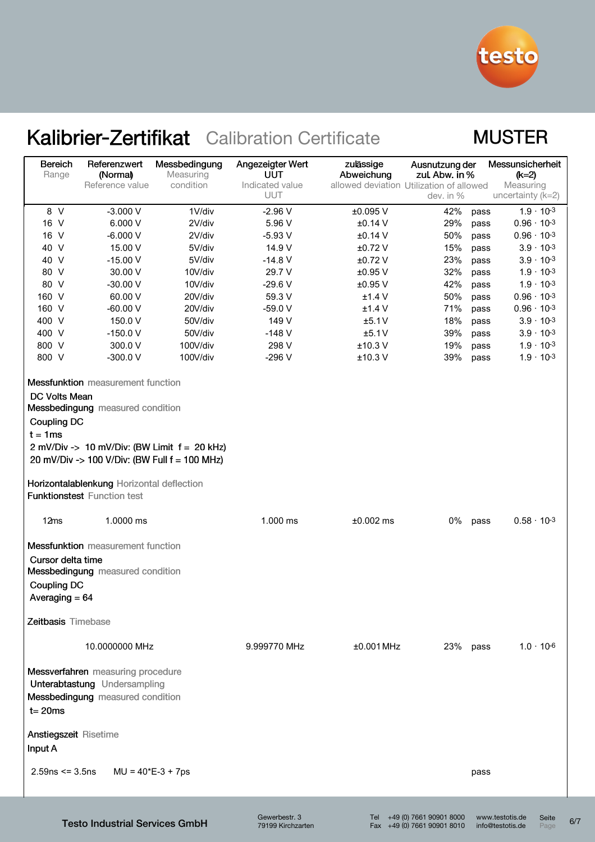

### **MUSTER**

| <b>Bereich</b><br>Range                                   | Referenzwert<br>(Normal)                                                                                                                                                     | Messbedingung<br>Measuring                                                                      | Angezeigter Wert<br>UUT | zulässige<br>Abweichung<br>allowed deviation Utilization of allowed | Ausnutzung der<br>zul. Abw. in % |      | Messunsicherheit<br>$(k=2)$    |  |
|-----------------------------------------------------------|------------------------------------------------------------------------------------------------------------------------------------------------------------------------------|-------------------------------------------------------------------------------------------------|-------------------------|---------------------------------------------------------------------|----------------------------------|------|--------------------------------|--|
|                                                           | Reference value                                                                                                                                                              | condition                                                                                       | Indicated value<br>UUT  |                                                                     | dev. in %                        |      | Measuring<br>uncertainty (k=2) |  |
| 8 V                                                       | $-3.000V$                                                                                                                                                                    | 1V/div                                                                                          | $-2.96V$                | ±0.095 V                                                            | 42%                              | pass | $1.9 \cdot 10^{-3}$            |  |
| 16 V                                                      | 6.000 V                                                                                                                                                                      | 2V/div                                                                                          | 5.96 V                  | $±0.14$ V                                                           | 29%                              | pass | $0.96 \cdot 10^{-3}$           |  |
| 16 V                                                      | $-6.000V$                                                                                                                                                                    | 2V/div                                                                                          | $-5.93V$                | $±0.14$ V                                                           | 50%                              | pass | $0.96 \cdot 10^{-3}$           |  |
| 40 V                                                      | 15.00 V                                                                                                                                                                      | 5V/div                                                                                          | 14.9 V                  | $±0.72$ V                                                           | 15%                              | pass | $3.9 \cdot 10^{-3}$            |  |
| 40 V                                                      | $-15.00V$                                                                                                                                                                    | 5V/div                                                                                          | $-14.8$ V               | $±0.72$ V                                                           | 23%                              | pass | $3.9 \cdot 10^{-3}$            |  |
| 80 V                                                      | 30.00 V                                                                                                                                                                      | 10V/div                                                                                         | 29.7 V                  | $±0.95$ V                                                           | 32%                              | pass | $1.9 \cdot 10^{-3}$            |  |
| 80 V                                                      | $-30.00V$                                                                                                                                                                    | 10V/div                                                                                         | $-29.6V$                | $±0.95$ V                                                           | 42%                              | pass | $1.9 \cdot 10^{-3}$            |  |
| 160 V                                                     | 60.00 V                                                                                                                                                                      | 20V/div                                                                                         | 59.3 V                  | $±1.4$ V                                                            | 50%                              | pass | $0.96 \cdot 10^{-3}$           |  |
| 160 V                                                     | $-60.00V$                                                                                                                                                                    | 20V/div                                                                                         | $-59.0V$                | $±1.4$ V                                                            | 71%                              | pass | $0.96 \cdot 10^{-3}$           |  |
| 400 V                                                     | 150.0 V                                                                                                                                                                      | 50V/div                                                                                         | 149 V                   | ±5.1V                                                               | 18%                              | pass | $3.9 \cdot 10^{-3}$            |  |
| 400 V                                                     | $-150.0V$                                                                                                                                                                    | 50V/div                                                                                         | $-148V$                 | ±5.1V                                                               | 39%                              | pass | $3.9 \cdot 10^{-3}$            |  |
| 800 V                                                     | 300.0 V                                                                                                                                                                      | 100V/div                                                                                        | 298 V                   | $±10.3$ V                                                           | 19%                              | pass | $1.9 \cdot 10^{-3}$            |  |
| 800 V                                                     | $-300.0V$                                                                                                                                                                    | 100V/div                                                                                        | $-296V$                 | $±10.3$ V                                                           | 39%                              | pass | $1.9 \cdot 10^{-3}$            |  |
| DC Volts Mean<br><b>Coupling DC</b><br>$t = 1$ ms<br>12ms | <b>Messfunktion</b> measurement function<br>Messbedingung measured condition<br>Horizontalablenkung Horizontal deflection<br><b>Funktionstest Function test</b><br>1.0000 ms | 2 mV/Div -> 10 mV/Div: (BW Limit $f = 20$ kHz)<br>20 mV/Div -> 100 V/Div: (BW Full f = 100 MHz) | 1.000 ms                | $±0.002$ ms                                                         | 0%                               | pass | $0.58 \cdot 10^{-3}$           |  |
|                                                           | <b>Messfunktion</b> measurement function<br>Cursor delta time<br>Messbedingung measured condition<br><b>Coupling DC</b><br>Averaging $= 64$<br>Zeitbasis Timebase            |                                                                                                 |                         |                                                                     |                                  |      |                                |  |
|                                                           | 10.0000000 MHz                                                                                                                                                               |                                                                                                 | 9.999770 MHz            | $±0.001$ MHz                                                        | 23% pass                         |      | $1.0 \cdot 10^{-6}$            |  |
| $t = 20$ ms                                               | Messverfahren measuring procedure<br>Unterabtastung Undersampling<br>Messbedingung measured condition                                                                        |                                                                                                 |                         |                                                                     |                                  |      |                                |  |
| <b>Anstiegszeit Risetime</b><br>Input A                   |                                                                                                                                                                              |                                                                                                 |                         |                                                                     |                                  |      |                                |  |
| $2.59$ ns <= 3.5ns                                        | MU = 40*E-3 + 7ps                                                                                                                                                            |                                                                                                 |                         |                                                                     |                                  | pass |                                |  |
|                                                           |                                                                                                                                                                              |                                                                                                 |                         |                                                                     |                                  |      |                                |  |